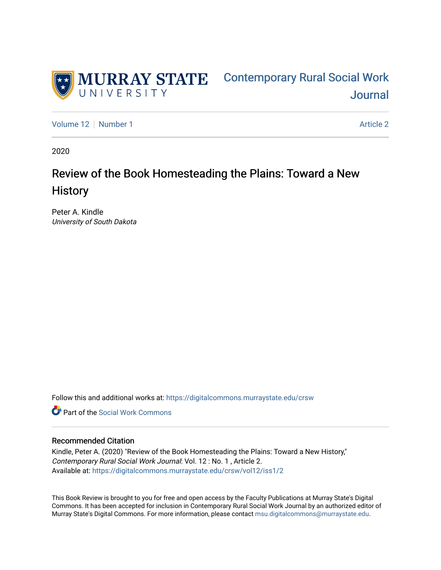

[Volume 12](https://digitalcommons.murraystate.edu/crsw/vol12) [Number 1](https://digitalcommons.murraystate.edu/crsw/vol12/iss1) [Article 2](https://digitalcommons.murraystate.edu/crsw/vol12/iss1/2) Article 2 Article 2 Article 2 Article 2 Article 2 Article 2

2020

# Review of the Book Homesteading the Plains: Toward a New **History**

Peter A. Kindle University of South Dakota

Follow this and additional works at: [https://digitalcommons.murraystate.edu/crsw](https://digitalcommons.murraystate.edu/crsw?utm_source=digitalcommons.murraystate.edu%2Fcrsw%2Fvol12%2Fiss1%2F2&utm_medium=PDF&utm_campaign=PDFCoverPages) 

**C** Part of the [Social Work Commons](http://network.bepress.com/hgg/discipline/713?utm_source=digitalcommons.murraystate.edu%2Fcrsw%2Fvol12%2Fiss1%2F2&utm_medium=PDF&utm_campaign=PDFCoverPages)

## Recommended Citation

Kindle, Peter A. (2020) "Review of the Book Homesteading the Plains: Toward a New History," Contemporary Rural Social Work Journal: Vol. 12 : No. 1 , Article 2. Available at: [https://digitalcommons.murraystate.edu/crsw/vol12/iss1/2](https://digitalcommons.murraystate.edu/crsw/vol12/iss1/2?utm_source=digitalcommons.murraystate.edu%2Fcrsw%2Fvol12%2Fiss1%2F2&utm_medium=PDF&utm_campaign=PDFCoverPages) 

This Book Review is brought to you for free and open access by the Faculty Publications at Murray State's Digital Commons. It has been accepted for inclusion in Contemporary Rural Social Work Journal by an authorized editor of Murray State's Digital Commons. For more information, please contact [msu.digitalcommons@murraystate.edu](mailto:msu.digitalcommons@murraystate.edu).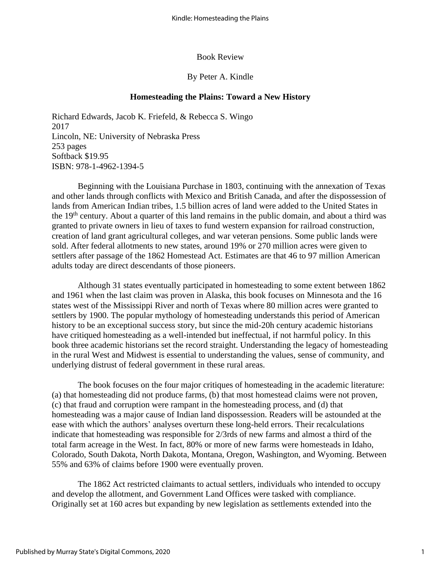#### Book Review

## By Peter A. Kindle

## **Homesteading the Plains: Toward a New History**

Richard Edwards, Jacob K. Friefeld, & Rebecca S. Wingo 2017 Lincoln, NE: University of Nebraska Press 253 pages Softback \$19.95 ISBN: 978-1-4962-1394-5

Beginning with the Louisiana Purchase in 1803, continuing with the annexation of Texas and other lands through conflicts with Mexico and British Canada, and after the dispossession of lands from American Indian tribes, 1.5 billion acres of land were added to the United States in the 19<sup>th</sup> century. About a quarter of this land remains in the public domain, and about a third was granted to private owners in lieu of taxes to fund western expansion for railroad construction, creation of land grant agricultural colleges, and war veteran pensions. Some public lands were sold. After federal allotments to new states, around 19% or 270 million acres were given to settlers after passage of the 1862 Homestead Act. Estimates are that 46 to 97 million American adults today are direct descendants of those pioneers.

Although 31 states eventually participated in homesteading to some extent between 1862 and 1961 when the last claim was proven in Alaska, this book focuses on Minnesota and the 16 states west of the Mississippi River and north of Texas where 80 million acres were granted to settlers by 1900. The popular mythology of homesteading understands this period of American history to be an exceptional success story, but since the mid-20h century academic historians have critiqued homesteading as a well-intended but ineffectual, if not harmful policy. In this book three academic historians set the record straight. Understanding the legacy of homesteading in the rural West and Midwest is essential to understanding the values, sense of community, and underlying distrust of federal government in these rural areas.

The book focuses on the four major critiques of homesteading in the academic literature: (a) that homesteading did not produce farms, (b) that most homestead claims were not proven, (c) that fraud and corruption were rampant in the homesteading process, and (d) that homesteading was a major cause of Indian land dispossession. Readers will be astounded at the ease with which the authors' analyses overturn these long-held errors. Their recalculations indicate that homesteading was responsible for 2/3rds of new farms and almost a third of the total farm acreage in the West. In fact, 80% or more of new farms were homesteads in Idaho, Colorado, South Dakota, North Dakota, Montana, Oregon, Washington, and Wyoming. Between 55% and 63% of claims before 1900 were eventually proven.

The 1862 Act restricted claimants to actual settlers, individuals who intended to occupy and develop the allotment, and Government Land Offices were tasked with compliance. Originally set at 160 acres but expanding by new legislation as settlements extended into the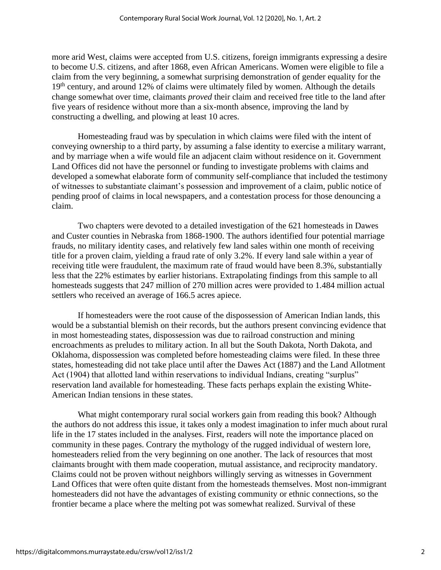more arid West, claims were accepted from U.S. citizens, foreign immigrants expressing a desire to become U.S. citizens, and after 1868, even African Americans. Women were eligible to file a claim from the very beginning, a somewhat surprising demonstration of gender equality for the 19<sup>th</sup> century, and around 12% of claims were ultimately filed by women. Although the details change somewhat over time, claimants *proved* their claim and received free title to the land after five years of residence without more than a six-month absence, improving the land by constructing a dwelling, and plowing at least 10 acres.

Homesteading fraud was by speculation in which claims were filed with the intent of conveying ownership to a third party, by assuming a false identity to exercise a military warrant, and by marriage when a wife would file an adjacent claim without residence on it. Government Land Offices did not have the personnel or funding to investigate problems with claims and developed a somewhat elaborate form of community self-compliance that included the testimony of witnesses to substantiate claimant's possession and improvement of a claim, public notice of pending proof of claims in local newspapers, and a contestation process for those denouncing a claim.

Two chapters were devoted to a detailed investigation of the 621 homesteads in Dawes and Custer counties in Nebraska from 1868-1900. The authors identified four potential marriage frauds, no military identity cases, and relatively few land sales within one month of receiving title for a proven claim, yielding a fraud rate of only 3.2%. If every land sale within a year of receiving title were fraudulent, the maximum rate of fraud would have been 8.3%, substantially less that the 22% estimates by earlier historians. Extrapolating findings from this sample to all homesteads suggests that 247 million of 270 million acres were provided to 1.484 million actual settlers who received an average of 166.5 acres apiece.

If homesteaders were the root cause of the dispossession of American Indian lands, this would be a substantial blemish on their records, but the authors present convincing evidence that in most homesteading states, dispossession was due to railroad construction and mining encroachments as preludes to military action. In all but the South Dakota, North Dakota, and Oklahoma, dispossession was completed before homesteading claims were filed. In these three states, homesteading did not take place until after the Dawes Act (1887) and the Land Allotment Act (1904) that allotted land within reservations to individual Indians, creating "surplus" reservation land available for homesteading. These facts perhaps explain the existing White-American Indian tensions in these states.

What might contemporary rural social workers gain from reading this book? Although the authors do not address this issue, it takes only a modest imagination to infer much about rural life in the 17 states included in the analyses. First, readers will note the importance placed on community in these pages. Contrary the mythology of the rugged individual of western lore, homesteaders relied from the very beginning on one another. The lack of resources that most claimants brought with them made cooperation, mutual assistance, and reciprocity mandatory. Claims could not be proven without neighbors willingly serving as witnesses in Government Land Offices that were often quite distant from the homesteads themselves. Most non-immigrant homesteaders did not have the advantages of existing community or ethnic connections, so the frontier became a place where the melting pot was somewhat realized. Survival of these